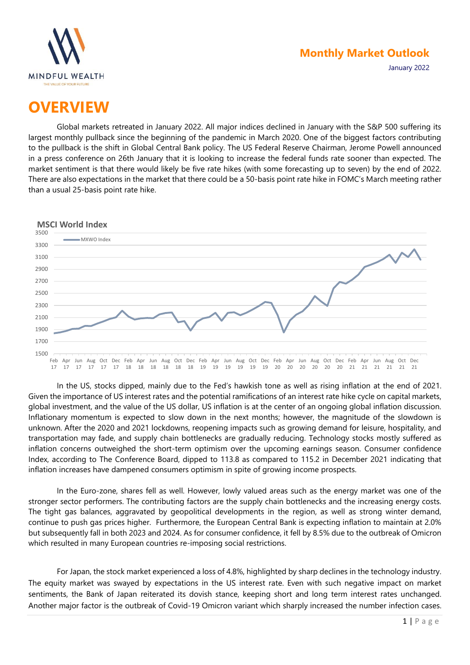

January 2022

# **OVERVIEW**

Global markets retreated in January 2022. All major indices declined in January with the S&P 500 suffering its largest monthly pullback since the beginning of the pandemic in March 2020. One of the biggest factors contributing to the pullback is the shift in Global Central Bank policy. The US Federal Reserve Chairman, Jerome Powell announced in a press conference on 26th January that it is looking to increase the federal funds rate sooner than expected. The market sentiment is that there would likely be five rate hikes (with some forecasting up to seven) by the end of 2022. There are also expectations in the market that there could be a 50-basis point rate hike in FOMC's March meeting rather than a usual 25-basis point rate hike.



In the US, stocks dipped, mainly due to the Fed's hawkish tone as well as rising inflation at the end of 2021. Given the importance of US interest rates and the potential ramifications of an interest rate hike cycle on capital markets, global investment, and the value of the US dollar, US inflation is at the center of an ongoing global inflation discussion. Inflationary momentum is expected to slow down in the next months; however, the magnitude of the slowdown is unknown. After the 2020 and 2021 lockdowns, reopening impacts such as growing demand for leisure, hospitality, and transportation may fade, and supply chain bottlenecks are gradually reducing. Technology stocks mostly suffered as inflation concerns outweighed the short-term optimism over the upcoming earnings season. Consumer confidence Index, according to The Conference Board, dipped to 113.8 as compared to 115.2 in December 2021 indicating that inflation increases have dampened consumers optimism in spite of growing income prospects.

In the Euro-zone, shares fell as well. However, lowly valued areas such as the energy market was one of the stronger sector performers. The contributing factors are the supply chain bottlenecks and the increasing energy costs. The tight gas balances, aggravated by geopolitical developments in the region, as well as strong winter demand, continue to push gas prices higher. Furthermore, the European Central Bank is expecting inflation to maintain at 2.0% but subsequently fall in both 2023 and 2024. As for consumer confidence, it fell by 8.5% due to the outbreak of Omicron which resulted in many European countries re-imposing social restrictions.

For Japan, the stock market experienced a loss of 4.8%, highlighted by sharp declines in the technology industry. The equity market was swayed by expectations in the US interest rate. Even with such negative impact on market sentiments, the Bank of Japan reiterated its dovish stance, keeping short and long term interest rates unchanged. Another major factor is the outbreak of Covid-19 Omicron variant which sharply increased the number infection cases.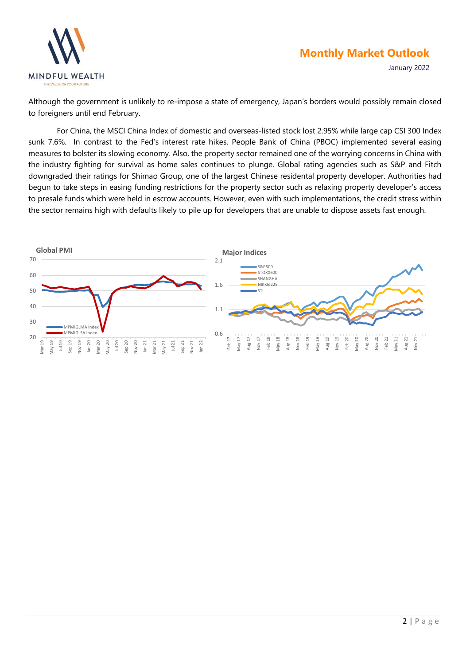



Although the government is unlikely to re-impose a state of emergency, Japan's borders would possibly remain closed to foreigners until end February.

For China, the MSCI China Index of domestic and overseas-listed stock lost 2.95% while large cap CSI 300 Index sunk 7.6%. In contrast to the Fed's interest rate hikes, People Bank of China (PBOC) implemented several easing measures to bolster its slowing economy. Also, the property sector remained one of the worrying concerns in China with the industry fighting for survival as home sales continues to plunge. Global rating agencies such as S&P and Fitch downgraded their ratings for Shimao Group, one of the largest Chinese residental property developer. Authorities had begun to take steps in easing funding restrictions for the property sector such as relaxing property developer's access to presale funds which were held in escrow accounts. However, even with such implementations, the credit stress within the sector remains high with defaults likely to pile up for developers that are unable to dispose assets fast enough.

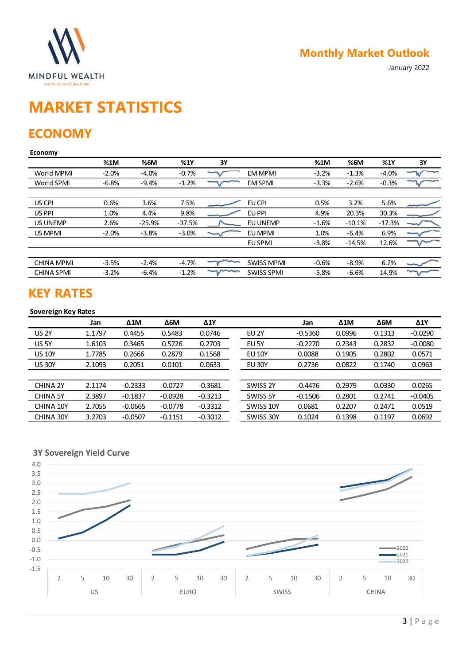

# **MARKET STATISTICS**

### **ECONOMY**

#### **Economy**

|                   | %1M     | %6M      | %1Y      | 3Y   |                   | %1M     | %6M      | %1Y      | 3Y |
|-------------------|---------|----------|----------|------|-------------------|---------|----------|----------|----|
| World MPMI        | $-2.0%$ | $-4.0%$  | $-0.7%$  |      | <b>EM MPMI</b>    | $-3.2%$ | $-1.3%$  | $-4.0%$  |    |
| World SPMI        | $-6.8%$ | $-9.4%$  | $-1.2%$  |      | <b>EM SPMI</b>    | $-3.3%$ | $-2.6%$  | $-0.3%$  |    |
|                   |         |          |          |      |                   |         |          |          |    |
| US CPI            | 0.6%    | 3.6%     | 7.5%     |      | EU CPI            | 0.5%    | 3.2%     | 5.6%     |    |
| US PPI            | 1.0%    | 4.4%     | 9.8%     |      | EU PPI            | 4.9%    | 20.3%    | 30.3%    |    |
| <b>US UNEMP</b>   | 2.6%    | $-25.9%$ | $-37.5%$ |      | EU UNEMP          | $-1.6%$ | $-10.1%$ | $-17.3%$ |    |
| US MPMI           | $-2.0%$ | $-3.8%$  | $-3.0%$  |      | EU MPMI           | 1.0%    | $-6.4%$  | 6.9%     |    |
|                   |         |          |          |      | EU SPMI           | $-3.8%$ | $-14.5%$ | 12.6%    |    |
|                   |         |          |          |      |                   |         |          |          |    |
| <b>CHINA MPMI</b> | $-3.5%$ | $-2.4%$  | $-4.7%$  |      | <b>SWISS MPMI</b> | $-0.6%$ | $-8.9%$  | 6.2%     |    |
| <b>CHINA SPMI</b> | $-3.2%$ | $-6.4%$  | $-1.2%$  | ~~~~ | <b>SWISS SPMI</b> | $-5.8%$ | $-6.6%$  | 14.9%    | ∼  |
|                   |         |          |          |      |                   |         |          |          |    |

### **KEY RATES**

#### **Sovereign Key Rates**

|                 | Jan    | $\Delta 1$ M | $\Delta$ 6M | $\Delta$ 1Y |                  | Jan       | $\Delta 1$ M | $\Delta$ 6M | $\Delta$ 1Y |
|-----------------|--------|--------------|-------------|-------------|------------------|-----------|--------------|-------------|-------------|
| <b>US 2Y</b>    | 1.1797 | 0.4455       | 0.5483      | 0.0746      | EU <sub>2Y</sub> | $-0.5360$ | 0.0996       | 0.1313      | $-0.0290$   |
| US 5Y           | 1.6103 | 0.3465       | 0.5726      | 0.2703      | EU 5Y            | $-0.2270$ | 0.2343       | 0.2832      | $-0.0080$   |
| <b>US 10Y</b>   | 1.7785 | 0.2666       | 0.2879      | 0.1568      | <b>EU 10Y</b>    | 0.0088    | 0.1905       | 0.2802      | 0.0571      |
| <b>US 30Y</b>   | 2.1093 | 0.2051       | 0.0101      | 0.0633      | <b>EU 30Y</b>    | 0.2736    | 0.0822       | 0.1740      | 0.0963      |
|                 |        |              |             |             |                  |           |              |             |             |
| <b>CHINA 2Y</b> | 2.1174 | $-0.2333$    | $-0.0727$   | $-0.3681$   | SWISS 2Y         | $-0.4476$ | 0.2979       | 0.0330      | 0.0265      |
| <b>CHINA 5Y</b> | 2.3897 | $-0.1837$    | $-0.0928$   | $-0.3213$   | SWISS 5Y         | $-0.1506$ | 0.2801       | 0.2741      | $-0.0405$   |
| CHINA 10Y       | 2.7055 | $-0.0665$    | $-0.0778$   | $-0.3312$   | SWISS 10Y        | 0.0681    | 0.2207       | 0.2471      | 0.0519      |
| CHINA 30Y       | 3.2703 | $-0.0507$    | $-0.1151$   | $-0.3012$   | SWISS 30Y        | 0.1024    | 0.1398       | 0.1197      | 0.0692      |

**3Y Sovereign Yield Curve**

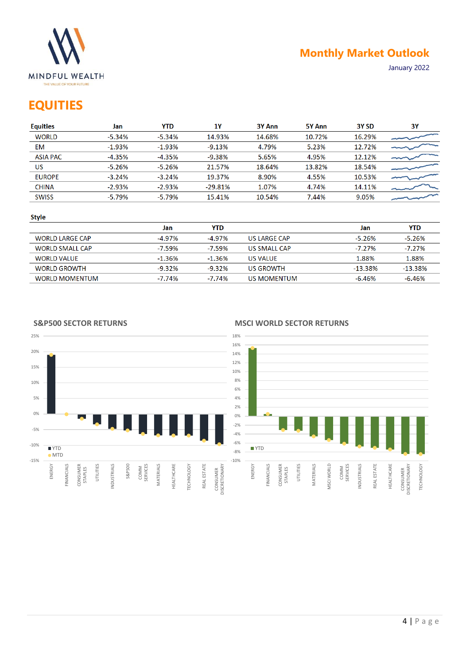

# **EQUITIES**

| <b>Equities</b> | Jan      | YTD       | 1Y        | <b>3Y Ann</b> | 5Y Ann | 3Y SD  | 3Y |
|-----------------|----------|-----------|-----------|---------------|--------|--------|----|
| <b>WORLD</b>    | $-5.34%$ | $-5.34%$  | 14.93%    | 14.68%        | 10.72% | 16.29% |    |
| EM              | $-1.93%$ | $-1.93\%$ | $-9.13%$  | 4.79%         | 5.23%  | 12.72% |    |
| <b>ASIA PAC</b> | $-4.35%$ | -4.35%    | $-9.38%$  | 5.65%         | 4.95%  | 12.12% |    |
| US              | $-5.26%$ | -5.26%    | 21.57%    | 18.64%        | 13.82% | 18.54% |    |
| <b>EUROPE</b>   | $-3.24%$ | $-3.24%$  | 19.37%    | 8.90%         | 4.55%  | 10.53% |    |
| <b>CHINA</b>    | $-2.93%$ | $-2.93%$  | $-29.81%$ | 1.07%         | 4.74%  | 14.11% |    |
| <b>SWISS</b>    | $-5.79%$ | $-5.79%$  | 15.41%    | 10.54%        | 7.44%  | 9.05%  |    |
|                 |          |           |           |               |        |        |    |

#### **Style**

|                        | Jan       | YTD       |              | Jan        | <b>YTD</b> |
|------------------------|-----------|-----------|--------------|------------|------------|
| <b>WORLD LARGE CAP</b> | $-4.97%$  | $-4.97\%$ | US LARGE CAP | $-5.26\%$  | $-5.26%$   |
| <b>WORLD SMALL CAP</b> | -7.59%    | $-7.59\%$ | US SMALL CAP | $-7.27\%$  | $-7.27\%$  |
| <b>WORLD VALUE</b>     | $-1.36\%$ | $-1.36\%$ | US VALUE     | 1.88%      | 1.88%      |
| <b>WORLD GROWTH</b>    | $-9.32\%$ | $-9.32\%$ | US GROWTH    | $-13.38\%$ | -13.38%    |
| <b>WORLD MOMENTUM</b>  | -7.74%    | $-7.74%$  | US MOMENTUM  | -6.46%     | $-6.46%$   |

**S&P500 SECTOR RETURNS**

#### **MSCI WORLD SECTOR RETURNS**



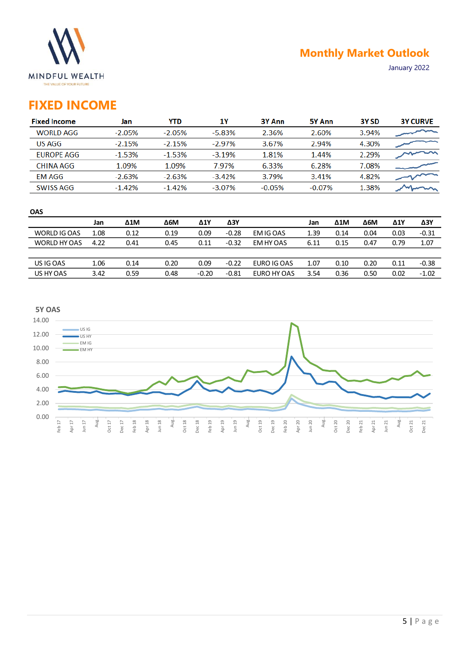

# **FIXED INCOME**

| <b>Fixed Income</b> | Jan      | YTD      | 1Υ        | 3Y Ann   | 5Y Ann    | 3Y SD | <b>3Y CURVE</b> |
|---------------------|----------|----------|-----------|----------|-----------|-------|-----------------|
| <b>WORLD AGG</b>    | $-2.05%$ | $-2.05%$ | $-5.83%$  | 2.36%    | 2.60%     | 3.94% |                 |
| US AGG              | $-2.15%$ | $-2.15%$ | $-2.97%$  | 3.67%    | 2.94%     | 4.30% |                 |
| <b>EUROPE AGG</b>   | $-1.53%$ | $-1.53%$ | $-3.19%$  | 1.81%    | 1.44%     | 2.29% |                 |
| CHINA AGG           | 1.09%    | 1.09%    | 7.97%     | 6.33%    | 6.28%     | 7.08% |                 |
| <b>EM AGG</b>       | $-2.63%$ | $-2.63%$ | $-3.42%$  | 3.79%    | 3.41%     | 4.82% |                 |
| <b>SWISS AGG</b>    | $-1.42%$ | $-1.42%$ | $-3.07\%$ | $-0.05%$ | $-0.07\%$ | 1.38% |                 |

| <b>OAS</b>   |      |      |      |         |         |             |      |      |      |             |         |
|--------------|------|------|------|---------|---------|-------------|------|------|------|-------------|---------|
|              | Jan  | Δ1M  | Δ6М  | Δ1Y     | ΔЗΥ     |             | Jan  | Δ1M  | Δ6M  | $\Delta$ 1Y | ΔЗΥ     |
| WORLD IG OAS | 1.08 | 0.12 | 0.19 | 0.09    | $-0.28$ | EM IG OAS   | 1.39 | 0.14 | 0.04 | 0.03        | $-0.31$ |
| WORLD HY OAS | 4.22 | 0.41 | 0.45 | 0.11    | $-0.32$ | EM HY OAS   | 6.11 | 0.15 | 0.47 | 0.79        | 1.07    |
|              |      |      |      |         |         |             |      |      |      |             |         |
| US IG OAS    | 1.06 | 0.14 | 0.20 | 0.09    | $-0.22$ | EURO IG OAS | 1.07 | 0.10 | 0.20 | 0.11        | $-0.38$ |
| US HY OAS    | 3.42 | 0.59 | 0.48 | $-0.20$ | $-0.81$ | EURO HY OAS | 3.54 | 0.36 | 0.50 | 0.02        | $-1.02$ |
|              |      |      |      |         |         |             |      |      |      |             |         |

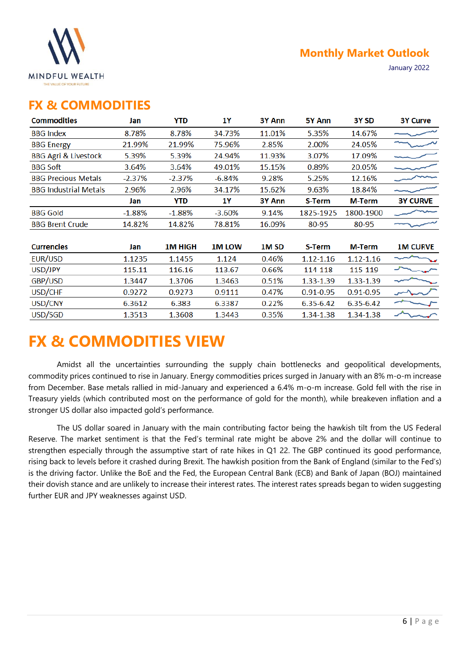

January 2022

### **FX & COMMODITIES**

| <b>Commodities</b>              | Jan       | YTD            | 1۲           | 3Y Ann           | 5Y Ann        | 3Y SD         | <b>3Y Curve</b> |
|---------------------------------|-----------|----------------|--------------|------------------|---------------|---------------|-----------------|
| <b>BBG Index</b>                | 8.78%     | 8.78%          | 34.73%       | 11.01%           | 5.35%         | 14.67%        |                 |
| <b>BBG Energy</b>               | 21.99%    | 21.99%         | 75.96%       | 2.85%            | 2.00%         | 24.05%        |                 |
| <b>BBG Agri &amp; Livestock</b> | 5.39%     | 5.39%          | 24.94%       | 11.93%           | 3.07%         | 17.09%        |                 |
| <b>BBG Soft</b>                 | 3.64%     | 3.64%          | 49.01%       | 15.15%           | 0.89%         | 20.05%        |                 |
| <b>BBG Precious Metals</b>      | $-2.37\%$ | $-2.37%$       | $-6.84%$     | 9.28%            | 5.25%         | 12.16%        |                 |
| <b>BBG Industrial Metals</b>    | 2.96%     | 2.96%          | 34.17%       | 15.62%           | 9.63%         | 18.84%        |                 |
|                                 | Jan       | YTD            | 1Y           | 3Y Ann           | S-Term        | <b>M-Term</b> | <b>3Y CURVE</b> |
| <b>BBG Gold</b>                 | $-1.88%$  | $-1.88%$       | $-3.60%$     | 9.14%            | 1825-1925     | 1800-1900     |                 |
| <b>BBG Brent Crude</b>          | 14.82%    | 14.82%         | 78.81%       | 16.09%           | 80-95         | 80-95         |                 |
|                                 |           |                |              |                  |               |               |                 |
| <b>Currencies</b>               | Jan       | <b>1M HIGH</b> | <b>1MLOW</b> | 1M <sub>SD</sub> | S-Term        | <b>M-Term</b> | <b>1M CURVE</b> |
| EUR/USD                         | 1.1235    | 1.1455         | 1.124        | 0.46%            | $1.12 - 1.16$ | $1.12 - 1.16$ |                 |
| USD/JPY                         | 115.11    | 116.16         | 113.67       | 0.66%            | 114-118       | 115-119       |                 |
| GBP/USD                         | 1.3447    | 1.3706         | 1.3463       | 0.51%            | 1.33-1.39     | 1.33-1.39     |                 |
| USD/CHF                         | 0.9272    | 0.9273         | 0.9111       | 0.47%            | $0.91 - 0.95$ | $0.91 - 0.95$ |                 |
| USD/CNY                         | 6.3612    | 6.383          | 6.3387       | 0.22%            | 6.35-6.42     | 6.35-6.42     |                 |
| USD/SGD                         | 1.3513    | 1.3608         | 1.3443       | 0.35%            | 1.34-1.38     | 1.34-1.38     |                 |
|                                 |           |                |              |                  |               |               |                 |

# **FX & COMMODITIES VIEW**

Amidst all the uncertainties surrounding the supply chain bottlenecks and geopolitical developments, commodity prices continued to rise in January. Energy commodities prices surged in January with an 8% m-o-m increase from December. Base metals rallied in mid-January and experienced a 6.4% m-o-m increase. Gold fell with the rise in Treasury yields (which contributed most on the performance of gold for the month), while breakeven inflation and a stronger US dollar also impacted gold's performance.

The US dollar soared in January with the main contributing factor being the hawkish tilt from the US Federal Reserve. The market sentiment is that the Fed's terminal rate might be above 2% and the dollar will continue to strengthen especially through the assumptive start of rate hikes in Q1 22. The GBP continued its good performance, rising back to levels before it crashed during Brexit. The hawkish position from the Bank of England (similar to the Fed's) is the driving factor. Unlike the BoE and the Fed, the European Central Bank (ECB) and Bank of Japan (BOJ) maintained their dovish stance and are unlikely to increase their interest rates. The interest rates spreads began to widen suggesting further EUR and JPY weaknesses against USD.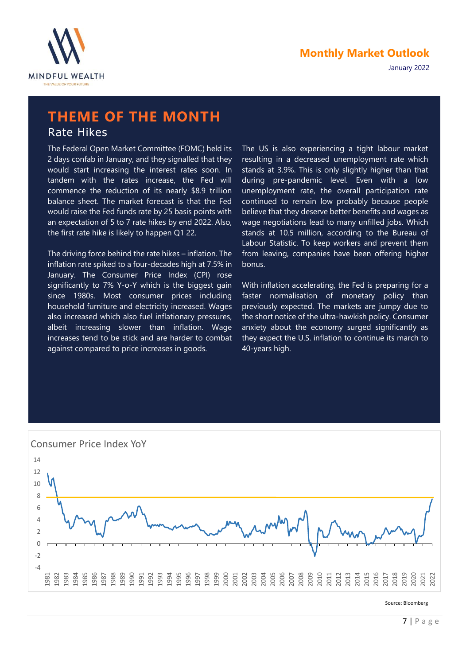



# **THEME OF THE MONTH**

### Rate Hikes

The Federal Open Market Committee (FOMC) held its 2 days confab in January, and they signalled that they would start increasing the interest rates soon. In tandem with the rates increase, the Fed will commence the reduction of its nearly \$8.9 trillion balance sheet. The market forecast is that the Fed would raise the Fed funds rate by 25 basis points with an expectation of 5 to 7 rate hikes by end 2022. Also, the first rate hike is likely to happen Q1 22.

The driving force behind the rate hikes – inflation. The inflation rate spiked to a four-decades high at 7.5% in January. The Consumer Price Index (CPI) rose significantly to 7% Y-o-Y which is the biggest gain since 1980s. Most consumer prices including household furniture and electricity increased. Wages also increased which also fuel inflationary pressures, albeit increasing slower than inflation. Wage increases tend to be stick and are harder to combat against compared to price increases in goods.

The US is also experiencing a tight labour market resulting in a decreased unemployment rate which stands at 3.9%. This is only slightly higher than that during pre-pandemic level. Even with a low unemployment rate, the overall participation rate continued to remain low probably because people believe that they deserve better benefits and wages as wage negotiations lead to many unfilled jobs. Which stands at 10.5 million, according to the Bureau of Labour Statistic. To keep workers and prevent them from leaving, companies have been offering higher bonus.

With inflation accelerating, the Fed is preparing for a faster normalisation of monetary policy than previously expected. The markets are jumpy due to the short notice of the ultra-hawkish policy. Consumer anxiety about the economy surged significantly as they expect the U.S. inflation to continue its march to 40-years high.



Source: Bloomberg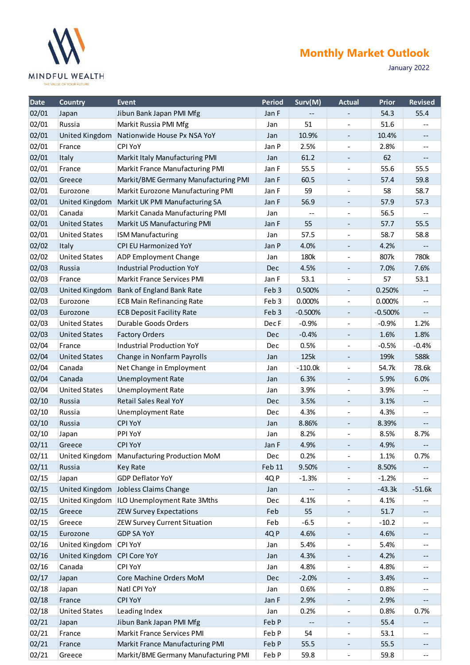

January 2022

| Date  | <b>Country</b>              | <b>Event</b>                                  | <b>Period</b>    | Surv(M)   | <b>Actual</b>            | <b>Prior</b> | <b>Revised</b>             |
|-------|-----------------------------|-----------------------------------------------|------------------|-----------|--------------------------|--------------|----------------------------|
| 02/01 | Japan                       | Jibun Bank Japan PMI Mfg                      | Jan F            |           |                          | 54.3         | 55.4                       |
| 02/01 | Russia                      | Markit Russia PMI Mfg                         | Jan              | 51        |                          | 51.6         |                            |
| 02/01 | <b>United Kingdom</b>       | Nationwide House Px NSA YoY                   | Jan              | 10.9%     | $\overline{\phantom{a}}$ | 10.4%        | $- -$                      |
| 02/01 | France                      | CPI YoY                                       | Jan P            | 2.5%      |                          | 2.8%         |                            |
| 02/01 | Italy                       | Markit Italy Manufacturing PMI                | Jan              | 61.2      |                          | 62           |                            |
| 02/01 | France                      | Markit France Manufacturing PMI               | Jan F            | 55.5      |                          | 55.6         | 55.5                       |
| 02/01 | Greece                      | Markit/BME Germany Manufacturing PMI          | Jan F            | 60.5      | $\qquad \qquad -$        | 57.4         | 59.8                       |
| 02/01 | Eurozone                    | Markit Eurozone Manufacturing PMI             | Jan F            | 59        |                          | 58           | 58.7                       |
| 02/01 | <b>United Kingdom</b>       | Markit UK PMI Manufacturing SA                | Jan F            | 56.9      | $\overline{\phantom{a}}$ | 57.9         | 57.3                       |
| 02/01 | Canada                      | Markit Canada Manufacturing PMI               | Jan              |           |                          | 56.5         |                            |
| 02/01 | <b>United States</b>        | Markit US Manufacturing PMI                   | Jan F            | 55        |                          | 57.7         | 55.5                       |
| 02/01 | <b>United States</b>        | <b>ISM Manufacturing</b>                      | Jan              | 57.5      |                          | 58.7         | 58.8                       |
| 02/02 | Italy                       | CPI EU Harmonized YoY                         | Jan P            | 4.0%      | $\qquad \qquad -$        | 4.2%         |                            |
| 02/02 | <b>United States</b>        | ADP Employment Change                         | Jan              | 180k      |                          | 807k         | 780k                       |
| 02/03 | Russia                      | <b>Industrial Production YoY</b>              | <b>Dec</b>       | 4.5%      | $\overline{\phantom{a}}$ | 7.0%         | 7.6%                       |
| 02/03 | France                      | <b>Markit France Services PMI</b>             | Jan F            | 53.1      |                          | 57           | 53.1                       |
| 02/03 | <b>United Kingdom</b>       | Bank of England Bank Rate                     | Feb 3            | 0.500%    |                          | 0.250%       |                            |
| 02/03 | Eurozone                    | <b>ECB Main Refinancing Rate</b>              | Feb <sub>3</sub> | 0.000%    | $\overline{\phantom{a}}$ | 0.000%       | $- -$                      |
| 02/03 | Eurozone                    | <b>ECB Deposit Facility Rate</b>              | Feb 3            | $-0.500%$ | $\overline{\phantom{a}}$ | $-0.500%$    | --                         |
| 02/03 | <b>United States</b>        | Durable Goods Orders                          | Dec F            | $-0.9%$   | $\overline{\phantom{m}}$ | $-0.9%$      | 1.2%                       |
| 02/03 | <b>United States</b>        | <b>Factory Orders</b>                         | Dec              | $-0.4%$   | $\overline{\phantom{a}}$ | 1.6%         | 1.8%                       |
| 02/04 | France                      | Industrial Production YoY                     | Dec              | 0.5%      |                          | $-0.5%$      | $-0.4%$                    |
| 02/04 | <b>United States</b>        | Change in Nonfarm Payrolls                    | Jan              | 125k      |                          | 199k         | 588k                       |
| 02/04 | Canada                      | Net Change in Employment                      | Jan              | $-110.0k$ | $\overline{\phantom{a}}$ | 54.7k        | 78.6k                      |
| 02/04 | Canada                      | <b>Unemployment Rate</b>                      | Jan              | 6.3%      | $\overline{\phantom{a}}$ | 5.9%         | 6.0%                       |
| 02/04 | <b>United States</b>        | <b>Unemployment Rate</b>                      | Jan              | 3.9%      |                          | 3.9%         |                            |
| 02/10 | Russia                      | <b>Retail Sales Real YoY</b>                  | <b>Dec</b>       | 3.5%      | -                        | 3.1%         | --                         |
| 02/10 | Russia                      | <b>Unemployment Rate</b>                      | <b>Dec</b>       | 4.3%      |                          | 4.3%         | --                         |
| 02/10 | Russia                      | <b>CPI YoY</b>                                | Jan              | 8.86%     |                          | 8.39%        |                            |
| 02/10 | Japan                       | PPI YoY                                       | Jan              | 8.2%      |                          | 8.5%         | 8.7%                       |
| 02/11 | Greece                      | <b>CPI YoY</b>                                | Jan F            | 4.9%      |                          | 4.9%         |                            |
| 02/11 |                             | United Kingdom   Manufacturing Production MoM | Dec              | 0.2%      |                          | 1.1%         | 0.7%                       |
| 02/11 | Russia                      | <b>Key Rate</b>                               | Feb 11           | 9.50%     | $\overline{\phantom{a}}$ | 8.50%        |                            |
| 02/15 | Japan                       | <b>GDP Deflator YoY</b>                       | 4QP              | $-1.3%$   |                          | $-1.2%$      |                            |
| 02/15 | United Kingdom              | Jobless Claims Change                         | Jan              |           |                          | $-43.3k$     | $-51.6k$                   |
| 02/15 | United Kingdom              | ILO Unemployment Rate 3Mths                   | Dec              | 4.1%      | $\overline{\phantom{a}}$ | 4.1%         |                            |
| 02/15 | Greece                      | <b>ZEW Survey Expectations</b>                | Feb              | 55        |                          | 51.7         |                            |
| 02/15 | Greece                      | ZEW Survey Current Situation                  | Feb              | $-6.5$    |                          | $-10.2$      | --                         |
| 02/15 | Eurozone                    | <b>GDP SA YoY</b>                             | 4QP              | 4.6%      | $\overline{\phantom{a}}$ | 4.6%         | --                         |
| 02/16 | United Kingdom              | CPI YoY                                       | Jan              | 5.4%      |                          | 5.4%         | --                         |
| 02/16 | United Kingdom CPI Core YoY |                                               | Jan              | 4.3%      |                          | 4.2%         | --                         |
| 02/16 | Canada                      | CPI YoY                                       | Jan              | 4.8%      | $\overline{\phantom{a}}$ | 4.8%         | --                         |
| 02/17 | Japan                       | Core Machine Orders MoM                       | Dec              | $-2.0%$   | $\qquad \qquad -$        | 3.4%         | --                         |
| 02/18 | Japan                       | Natl CPI YoY                                  | Jan              | 0.6%      |                          | 0.8%         | --                         |
| 02/18 | France                      | <b>CPI YoY</b>                                | Jan F            | 2.9%      | $\overline{\phantom{a}}$ | 2.9%         | --                         |
| 02/18 | <b>United States</b>        | Leading Index                                 | Jan              | 0.2%      |                          | 0.8%         | 0.7%                       |
| 02/21 | Japan                       | Jibun Bank Japan PMI Mfg                      | Feb P            |           |                          | 55.4         | --                         |
| 02/21 | France                      | Markit France Services PMI                    | Feb P            | 54        | $\overline{\phantom{a}}$ | 53.1         | --                         |
| 02/21 | France                      | Markit France Manufacturing PMI               | Feb P            | 55.5      |                          | 55.5         | --                         |
| 02/21 | Greece                      | Markit/BME Germany Manufacturing PMI          | Feb P            | 59.8      | $\overline{\phantom{0}}$ | 59.8         | $\overline{\phantom{a}}$ . |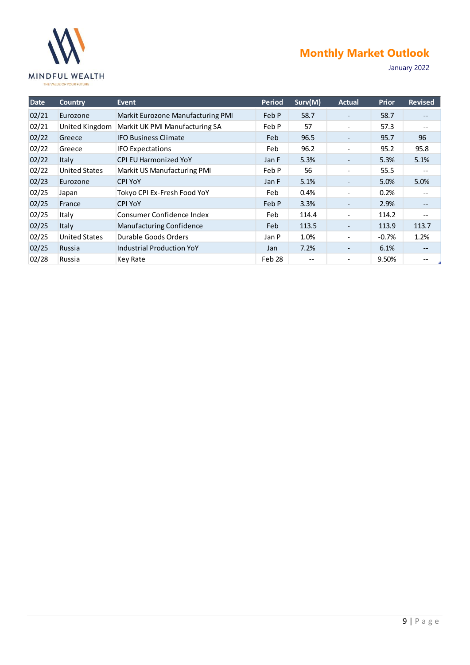

### **Monthly Market Outlook Monthly Market Outlook**

January 2022

| Date  | <b>Country</b>       | Event                             | <b>Period</b> | Surv(M) | <b>Actual</b>                | <b>Prior</b> | <b>Revised</b>    |
|-------|----------------------|-----------------------------------|---------------|---------|------------------------------|--------------|-------------------|
| 02/21 | Eurozone             | Markit Eurozone Manufacturing PMI | Feb P         | 58.7    |                              | 58.7         |                   |
| 02/21 | United Kingdom       | Markit UK PMI Manufacturing SA    | Feb P         | 57      | $\qquad \qquad \blacksquare$ | 57.3         | $-$               |
| 02/22 | Greece               | <b>IFO Business Climate</b>       | Feb           | 96.5    |                              | 95.7         | 96                |
| 02/22 | Greece               | <b>IFO Expectations</b>           | Feb           | 96.2    | $\qquad \qquad \blacksquare$ | 95.2         | 95.8              |
| 02/22 | Italy                | <b>CPI EU Harmonized YoY</b>      | Jan F         | 5.3%    | $\overline{\phantom{a}}$     | 5.3%         | 5.1%              |
| 02/22 | <b>United States</b> | Markit US Manufacturing PMI       | Feb P         | 56      |                              | 55.5         |                   |
| 02/23 | Eurozone             | <b>CPI YoY</b>                    | Jan F         | 5.1%    |                              | 5.0%         | 5.0%              |
| 02/25 | Japan                | Tokyo CPI Ex-Fresh Food YoY       | Feb           | 0.4%    |                              | 0.2%         |                   |
| 02/25 | France               | <b>CPI YoY</b>                    | Feb P         | 3.3%    |                              | 2.9%         | --                |
| 02/25 | Italy                | Consumer Confidence Index         | Feb           | 114.4   | $\qquad \qquad \blacksquare$ | 114.2        | $\qquad \qquad -$ |
| 02/25 | <b>Italy</b>         | Manufacturing Confidence          | Feb           | 113.5   |                              | 113.9        | 113.7             |
| 02/25 | <b>United States</b> | Durable Goods Orders              | Jan P         | 1.0%    |                              | $-0.7%$      | 1.2%              |
| 02/25 | Russia               | <b>Industrial Production YoY</b>  | Jan           | 7.2%    | $\overline{\phantom{a}}$     | 6.1%         | $\qquad \qquad -$ |
| 02/28 | Russia               | Key Rate                          | Feb 28        | $- -$   |                              | 9.50%        |                   |